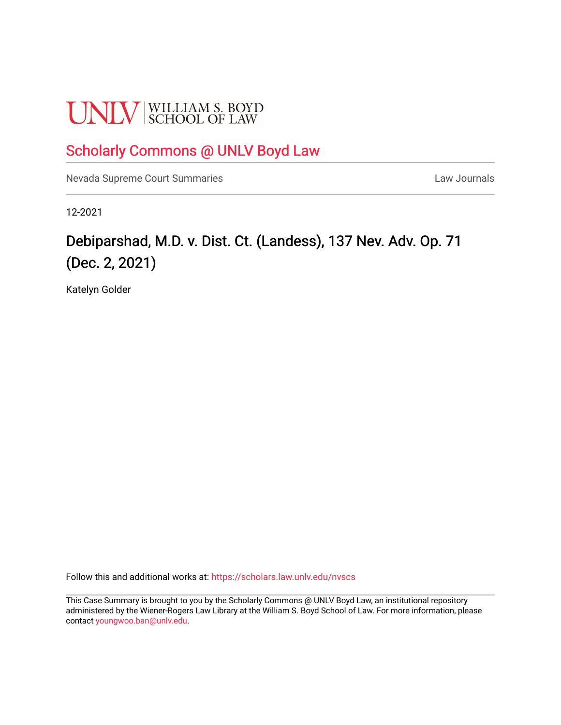# **UNLV** SCHOOL OF LAW

### [Scholarly Commons @ UNLV Boyd Law](https://scholars.law.unlv.edu/)

[Nevada Supreme Court Summaries](https://scholars.law.unlv.edu/nvscs) **Law Journals** Law Journals

12-2021

## Debiparshad, M.D. v. Dist. Ct. (Landess), 137 Nev. Adv. Op. 71 (Dec. 2, 2021)

Katelyn Golder

Follow this and additional works at: [https://scholars.law.unlv.edu/nvscs](https://scholars.law.unlv.edu/nvscs?utm_source=scholars.law.unlv.edu%2Fnvscs%2F1458&utm_medium=PDF&utm_campaign=PDFCoverPages)

This Case Summary is brought to you by the Scholarly Commons @ UNLV Boyd Law, an institutional repository administered by the Wiener-Rogers Law Library at the William S. Boyd School of Law. For more information, please contact [youngwoo.ban@unlv.edu](mailto:youngwoo.ban@unlv.edu).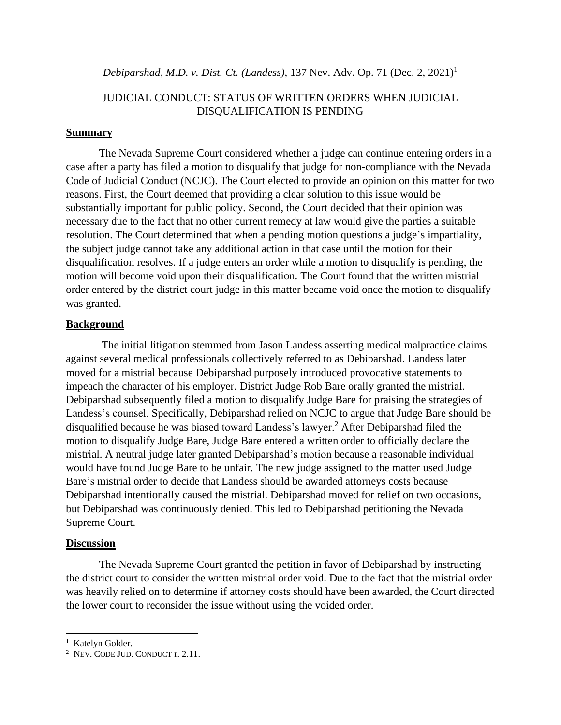#### *Debiparshad, M.D. v. Dist. Ct. (Landess)*, 137 Nev. Adv. Op. 71 (Dec. 2, 2021)<sup>1</sup>

#### JUDICIAL CONDUCT: STATUS OF WRITTEN ORDERS WHEN JUDICIAL DISQUALIFICATION IS PENDING

#### **Summary**

The Nevada Supreme Court considered whether a judge can continue entering orders in a case after a party has filed a motion to disqualify that judge for non-compliance with the Nevada Code of Judicial Conduct (NCJC). The Court elected to provide an opinion on this matter for two reasons. First, the Court deemed that providing a clear solution to this issue would be substantially important for public policy. Second, the Court decided that their opinion was necessary due to the fact that no other current remedy at law would give the parties a suitable resolution. The Court determined that when a pending motion questions a judge's impartiality, the subject judge cannot take any additional action in that case until the motion for their disqualification resolves. If a judge enters an order while a motion to disqualify is pending, the motion will become void upon their disqualification. The Court found that the written mistrial order entered by the district court judge in this matter became void once the motion to disqualify was granted.

#### **Background**

The initial litigation stemmed from Jason Landess asserting medical malpractice claims against several medical professionals collectively referred to as Debiparshad. Landess later moved for a mistrial because Debiparshad purposely introduced provocative statements to impeach the character of his employer. District Judge Rob Bare orally granted the mistrial. Debiparshad subsequently filed a motion to disqualify Judge Bare for praising the strategies of Landess's counsel. Specifically, Debiparshad relied on NCJC to argue that Judge Bare should be disqualified because he was biased toward Landess's lawyer.<sup>2</sup> After Debiparshad filed the motion to disqualify Judge Bare, Judge Bare entered a written order to officially declare the mistrial. A neutral judge later granted Debiparshad's motion because a reasonable individual would have found Judge Bare to be unfair. The new judge assigned to the matter used Judge Bare's mistrial order to decide that Landess should be awarded attorneys costs because Debiparshad intentionally caused the mistrial. Debiparshad moved for relief on two occasions, but Debiparshad was continuously denied. This led to Debiparshad petitioning the Nevada Supreme Court.

#### **Discussion**

The Nevada Supreme Court granted the petition in favor of Debiparshad by instructing the district court to consider the written mistrial order void. Due to the fact that the mistrial order was heavily relied on to determine if attorney costs should have been awarded, the Court directed the lower court to reconsider the issue without using the voided order.

<sup>&</sup>lt;sup>1</sup> Katelyn Golder.

<sup>2</sup> NEV. CODE JUD. CONDUCT r. 2.11.